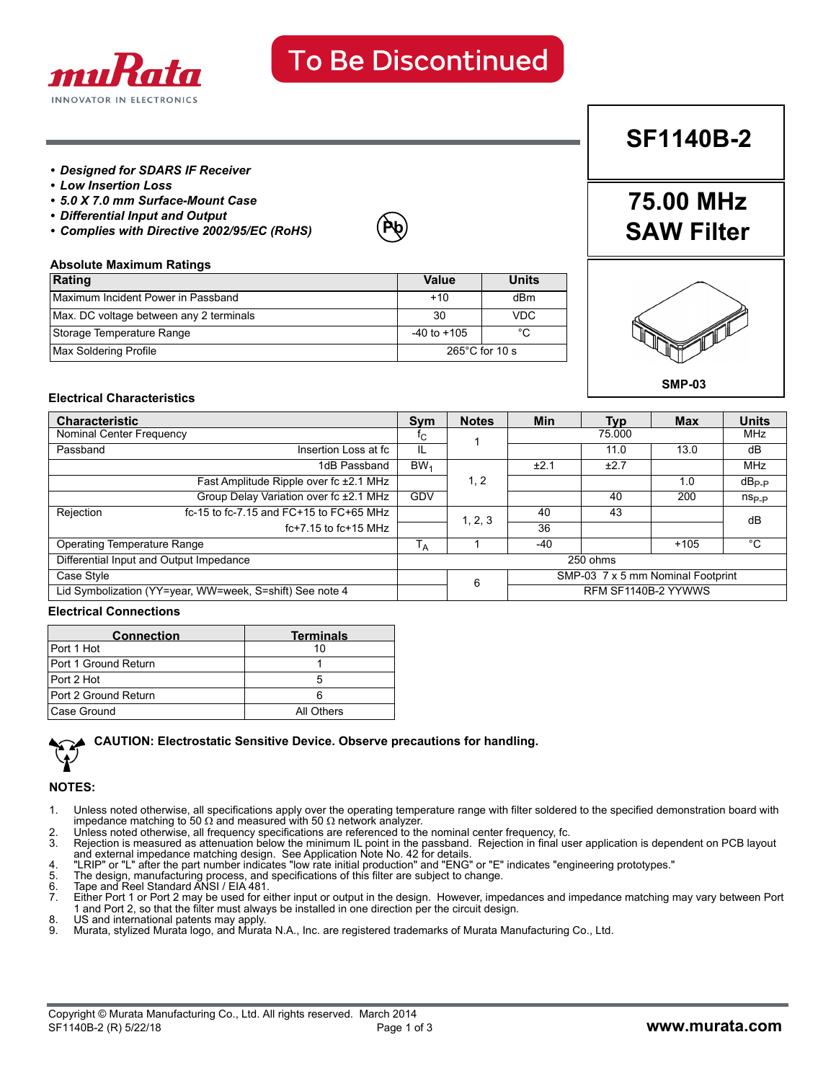

# **To Be Discontinued**

### *• Designed for SDARS IF Receiver*

- *Low Insertion Loss*
- *5.0 X 7.0 mm Surface-Mount Case*
- *Differential Input and Output*
- *Complies with Directive 2002/95/EC (RoHS)*



### **Absolute Maximum Ratings**

| Rating                                  | Value                    | <b>Units</b>    |  |
|-----------------------------------------|--------------------------|-----------------|--|
| Maximum Incident Power in Passband      | $+10$                    | dB <sub>m</sub> |  |
| Max. DC voltage between any 2 terminals | 30                       | <b>VDC</b>      |  |
| Storage Temperature Range               | $-40$ to $+105$          | °C              |  |
| Max Soldering Profile                   | $265^{\circ}$ C for 10 s |                 |  |

**SF1140B-2**

## **75.00 MHz SAW Filter**



### **Electrical Characteristics**

| <b>Characteristic</b>                                    |                                             |                 | <b>Notes</b>                           | <b>Min</b> | <b>Typ</b>          | <b>Max</b> | <b>Units</b>   |
|----------------------------------------------------------|---------------------------------------------|-----------------|----------------------------------------|------------|---------------------|------------|----------------|
| Nominal Center Frequency                                 |                                             |                 |                                        | 75.000     |                     | <b>MHz</b> |                |
| Passband                                                 | Insertion Loss at fc                        | IL              |                                        |            | 11.0                | 13.0       | dB             |
|                                                          | 1dB Passband                                | BW <sub>1</sub> |                                        | ±2.1       | ±2.7                |            | <b>MHz</b>     |
| Fast Amplitude Ripple over fc ±2.1 MHz                   |                                             |                 | 1, 2                                   |            |                     | 1.0        | $dB_{P.P}$     |
|                                                          | Group Delay Variation over fc ±2.1 MHz      | <b>GDV</b>      |                                        |            | 40                  | 200        | $n_{\rm Sp,p}$ |
| Rejection                                                | fc-15 to fc-7.15 and $FC+15$ to $FC+65$ MHz |                 | 1, 2, 3                                | 40         | 43                  |            | dB             |
|                                                          | $fc+7.15$ to $fc+15$ MHz                    |                 |                                        | 36         |                     |            |                |
| <b>Operating Temperature Range</b>                       |                                             |                 |                                        | $-40$      |                     | $+105$     | °C             |
| Differential Input and Output Impedance                  |                                             | 250 ohms        |                                        |            |                     |            |                |
| Case Style                                               |                                             |                 | SMP-03 7 x 5 mm Nominal Footprint<br>6 |            |                     |            |                |
| Lid Symbolization (YY=year, WW=week, S=shift) See note 4 |                                             |                 |                                        |            | RFM SF1140B-2 YYWWS |            |                |

### **Electrical Connections**

| <b>Connection</b>    | <b>Terminals</b> |
|----------------------|------------------|
| Port 1 Hot           |                  |
| Port 1 Ground Return |                  |
| Port 2 Hot           |                  |
| Port 2 Ground Return |                  |
| Case Ground          | All Others       |

### **CAUTION: Electrostatic Sensitive Device. Observe precautions for handling.**

### **NOTES:**

1. Unless noted otherwise, all specifications apply over the operating temperature range with filter soldered to the specified demonstration board with impedance matching to 50  $\Omega$  and measured with 50  $\Omega$  network analyzer.

2. Unless noted otherwise, all frequency specifications are referenced to the nominal center frequency, fc.

- 3. Rejection is measured as attenuation below the minimum IL point in the passband. Rejection in final user application is dependent on PCB layout and external impedance matching design. See Application Note No. 42 for details.
- 4. "LRIP" or "L" after the part number indicates "low rate initial production" and "ENG" or "E" indicates "engineering prototypes."
- 5. The design, manufacturing process, and specifications of this filter are subject to change.
- 6. Tape and Reel Standard ANSI / EIA 481.<br>7. Either Port 1 or Port 2 may be used for ei
- 7. Either Port 1 or Port 2 may be used for either input or output in the design. However, impedances and impedance matching may vary between Port 1 and Port 2, so that the filter must always be installed in one direction per the circuit design.
- 8. US and international patents may apply.<br>9. Murata, stylized Murata logo, and Murata
- 9. Murata, stylized Murata logo, and Murata N.A., Inc. are registered trademarks of Murata Manufacturing Co., Ltd.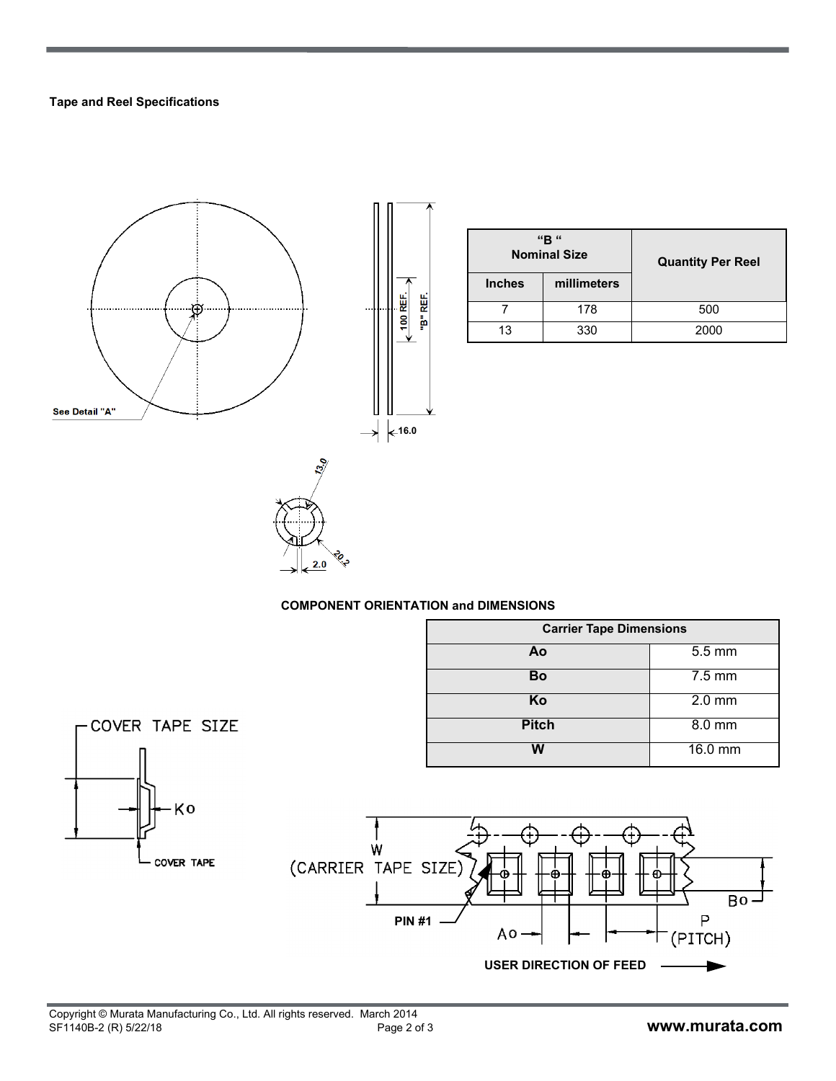### **Tape and Reel Specifications**



| "B"<br><b>Nominal Size</b> |             | <b>Quantity Per Reel</b> |
|----------------------------|-------------|--------------------------|
| <b>Inches</b>              | millimeters |                          |
|                            | 178         | 500                      |
| 13                         | 330         | 2000                     |



### **COMPONENT ORIENTATION and DIMENSIONS**

| <b>Carrier Tape Dimensions</b> |                  |  |  |  |  |
|--------------------------------|------------------|--|--|--|--|
| Ao                             | 5.5 mm           |  |  |  |  |
| Bo                             | $7.5 \text{ mm}$ |  |  |  |  |
| Ko                             | $2.0$ mm         |  |  |  |  |
| <b>Pitch</b>                   | $8.0$ mm         |  |  |  |  |
| W                              | $16.0$ mm        |  |  |  |  |



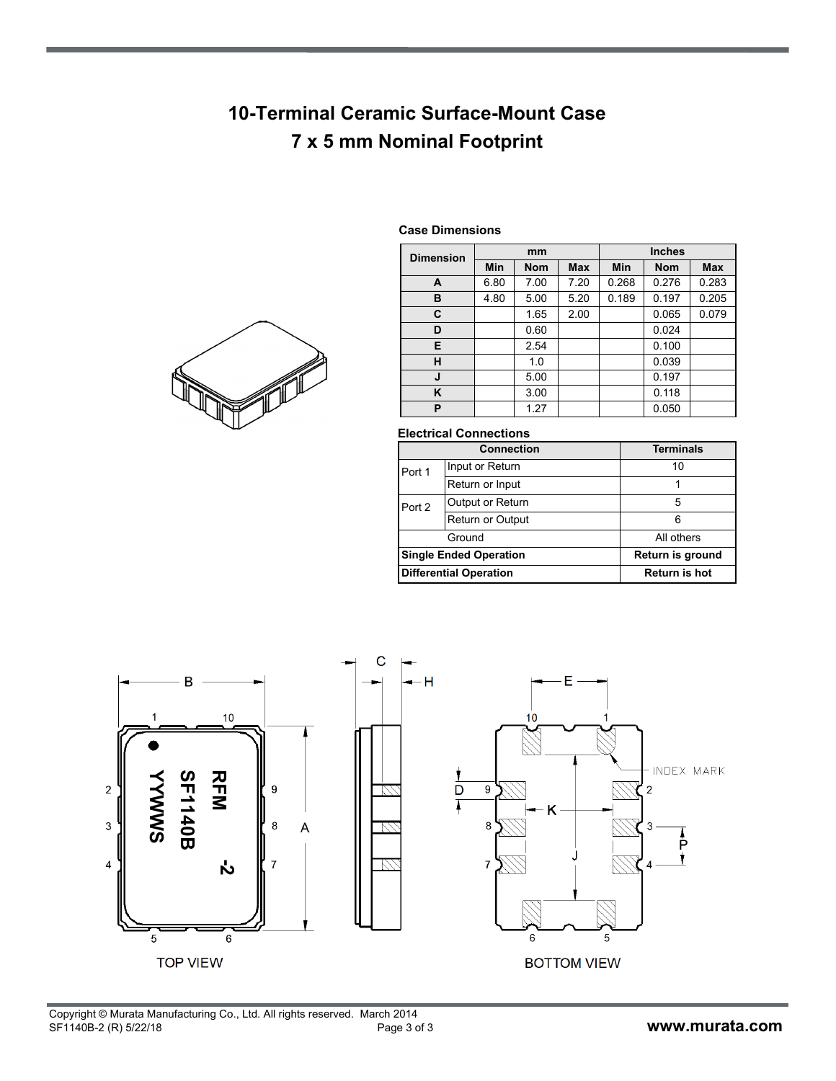## **10-Terminal Ceramic Surface-Mount Case 7 x 5 mm Nominal Footprint**



### **Case Dimensions**

| <b>Dimension</b> | mm   |            |            | <b>Inches</b> |            |            |
|------------------|------|------------|------------|---------------|------------|------------|
|                  | Min  | <b>Nom</b> | <b>Max</b> | <b>Min</b>    | <b>Nom</b> | <b>Max</b> |
| A                | 6.80 | 7.00       | 7.20       | 0.268         | 0.276      | 0.283      |
| в                | 4.80 | 5.00       | 5.20       | 0.189         | 0.197      | 0.205      |
| C                |      | 1.65       | 2.00       |               | 0.065      | 0.079      |
| D                |      | 0.60       |            |               | 0.024      |            |
| Е                |      | 2.54       |            |               | 0.100      |            |
| н                |      | 1.0        |            |               | 0.039      |            |
| J                |      | 5.00       |            |               | 0.197      |            |
| K                |      | 3.00       |            |               | 0.118      |            |
| P                |      | 1.27       |            |               | 0.050      |            |

### **Electrical Connections**

|        | <b>Connection</b>             | <b>Terminals</b>     |
|--------|-------------------------------|----------------------|
| Port 1 | Input or Return               | 10                   |
|        | Return or Input               |                      |
| Port 2 | Output or Return              | 5                    |
|        | <b>Return or Output</b>       | 6                    |
|        | Ground                        | All others           |
|        | <b>Single Ended Operation</b> | Return is ground     |
|        | Differential Operation        | <b>Return is hot</b> |